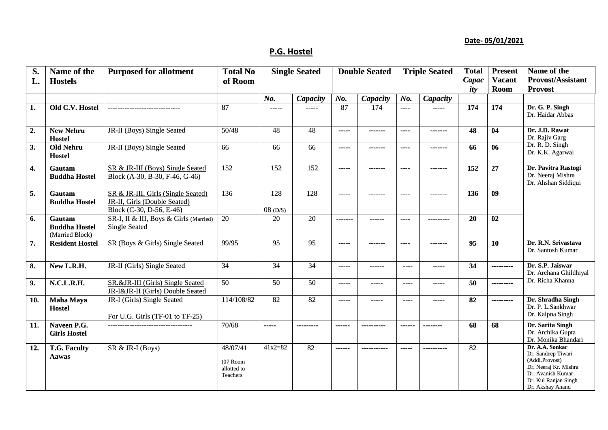## **Date- 05/01/2021**

## **P.G. Hostel**

| S.<br>L. | Name of the<br><b>Hostels</b>                     | <b>Purposed for allotment</b>                                                                         | <b>Total No</b><br>of Room                        | <b>Single Seated</b>           |                 | <b>Double Seated</b> |                 | <b>Triple Seated</b> |            | <b>Total</b><br>Capac<br>ity | <b>Present</b><br><b>Vacant</b><br><b>Room</b> | Name of the<br><b>Provost/Assistant</b><br><b>Provost</b>                                                                                         |
|----------|---------------------------------------------------|-------------------------------------------------------------------------------------------------------|---------------------------------------------------|--------------------------------|-----------------|----------------------|-----------------|----------------------|------------|------------------------------|------------------------------------------------|---------------------------------------------------------------------------------------------------------------------------------------------------|
|          |                                                   |                                                                                                       |                                                   | No.                            | Capacity        | No.                  | <b>Capacity</b> | No.                  | Capacity   |                              |                                                |                                                                                                                                                   |
| 1.       | Old C.V. Hostel                                   | ------------------------------                                                                        | 87                                                | $---$                          | -----           | 87                   | 174             | ----                 | $---$      | 174                          | 174                                            | Dr. G. P. Singh<br>Dr. Haidar Abbas                                                                                                               |
| 2.       | <b>New Nehru</b><br><b>Hostel</b>                 | JR-II (Boys) Single Seated                                                                            | 50/48                                             | 48                             | 48              | -----                | -------         | $\cdots$             | -------    | 48                           | 04                                             | Dr. J.D. Rawat<br>Dr. Rajiv Garg                                                                                                                  |
| 3.       | <b>Old Nehru</b><br><b>Hostel</b>                 | JR-II (Boys) Single Seated                                                                            | 66                                                | 66                             | 66              | $- - - - -$          | -------         | ----                 | -------    | 66                           | 06                                             | Dr. R. D. Singh<br>Dr. K.K. Agarwal                                                                                                               |
| 4.       | Gautam<br><b>Buddha Hostel</b>                    | SR & JR-III (Boys) Single Seated<br>Block (A-30, B-30, F-46, G-46)                                    | 152                                               | 152                            | 152             | -----                | -------         | ----                 | -------    | 152                          | 27                                             | Dr. Pavitra Rastogi<br>Dr. Neeraj Mishra<br>Dr. Ahshan Siddiqui                                                                                   |
| 5.       | Gautam<br><b>Buddha Hostel</b>                    | SR & JR-III, Girls (Single Seated)<br><b>JR-II, Girls (Double Seated)</b><br>Block (C-30, D-56, E-46) | 136                                               | $\overline{128}$<br>$08$ (D/S) | 128             | $- - - - -$          | -------         | $---$                | --------   | 136                          | $\overline{09}$                                |                                                                                                                                                   |
| 6.       | Gautam<br><b>Buddha Hostel</b><br>(Married Block) | SR-I, II & III, Boys & Girls (Married)<br><b>Single Seated</b>                                        | 20                                                | 20                             | 20              | -------              | ------          | ----                 | ---------  | 20                           | 02                                             |                                                                                                                                                   |
| 7.       | <b>Resident Hostel</b>                            | SR (Boys & Girls) Single Seated                                                                       | 99/95                                             | 95                             | 95              | -----                | -------         | ----                 | -------    | 95                           | 10                                             | Dr. R.N. Srivastava<br>Dr. Santosh Kumar                                                                                                          |
| 8.       | New L.R.H.                                        | JR-II (Girls) Single Seated                                                                           | 34                                                | 34                             | 34              | -----                | $- - - - - -$   | $\cdots$             | -----      | 34                           | ---------                                      | Dr. S.P. Jaiswar<br>Dr. Archana Ghildhiyal                                                                                                        |
| 9.       | N.C.L.R.H.                                        | SR.&JR-III (Girls) Single Seated<br>JR-I&JR-II (Girls) Double Seated                                  | 50                                                | 50                             | 50              | $- - - - -$          | -----           | $\cdots$             | -----      | 50                           | ---------                                      | Dr. Richa Khanna                                                                                                                                  |
| 10.      | <b>Maha Maya</b><br><b>Hostel</b>                 | JR-I (Girls) Single Seated<br>For U.G. Girls (TF-01 to TF-25)                                         | 114/108/82                                        | 82                             | $\overline{82}$ | -----                | -----           | ----                 | -----      | 82                           | ---------                                      | Dr. Shradha Singh<br>Dr. P. L.Sankhwar<br>Dr. Kalpna Singh                                                                                        |
| 11.      | Naveen P.G.<br><b>Girls Hostel</b>                | ------------------------------------                                                                  | 70/68                                             | -----                          | ---------       | ------               |                 | ------               |            | 68                           | 68                                             | Dr. Sarita Singh<br>Dr. Archika Gupta<br>Dr. Monika Bhandari                                                                                      |
| 12.      | <b>T.G. Faculty</b><br>Aawas                      | SR & JR-I (Boys)                                                                                      | 48/07/41<br>$(07$ Room<br>allotted to<br>Teachers | $41x2=82$                      | 82              | $- - - - - -$        | -----------     | $--- -$              | ---------- | 82                           |                                                | Dr. A.A. Sonkar<br>Dr. Sandeep Tiwari<br>(Addi.Provost)<br>Dr. Neeraj Kr. Mishra<br>Dr. Avanish Kumar<br>Dr. Kul Ranjan Singh<br>Dr. Akshay Anand |